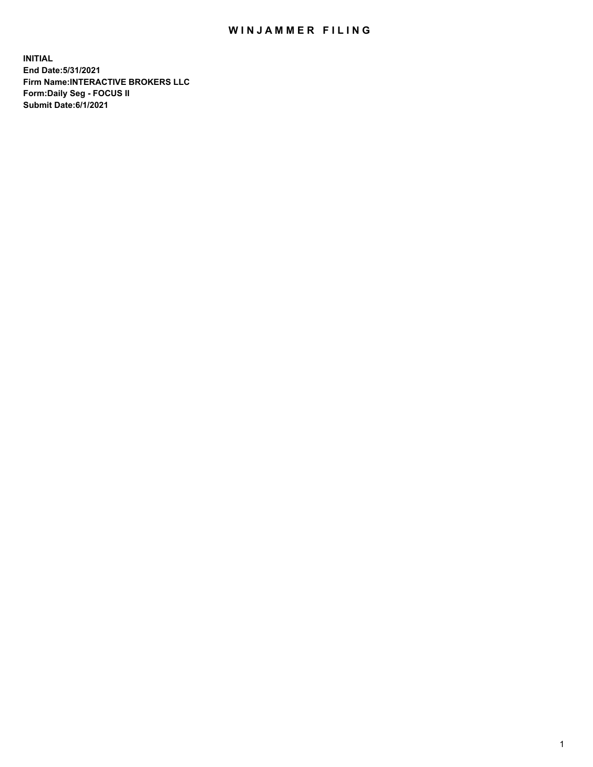## WIN JAMMER FILING

**INITIAL End Date:5/31/2021 Firm Name:INTERACTIVE BROKERS LLC Form:Daily Seg - FOCUS II Submit Date:6/1/2021**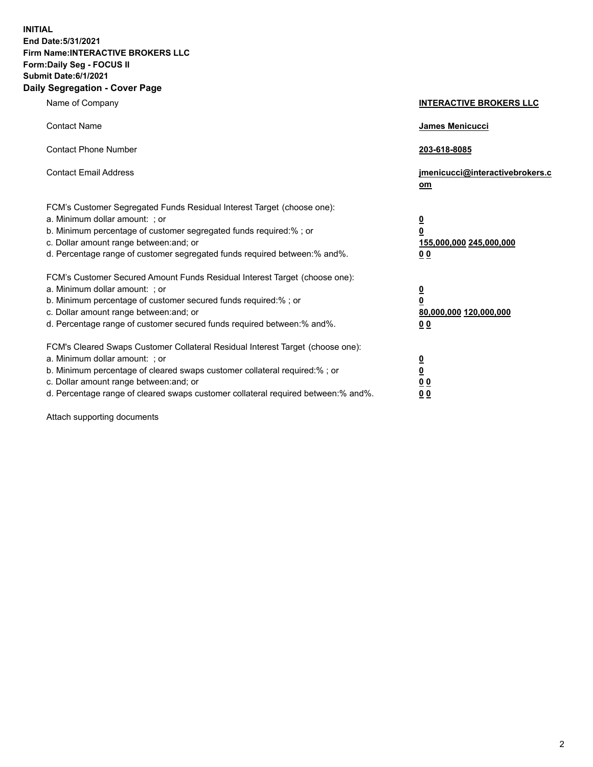**INITIAL End Date:5/31/2021 Firm Name:INTERACTIVE BROKERS LLC Form:Daily Seg - FOCUS II Submit Date:6/1/2021 Daily Segregation - Cover Page**

| Name of Company                                                                                                                                                                                                                                                                                                                | <b>INTERACTIVE BROKERS LLC</b>                                                                  |
|--------------------------------------------------------------------------------------------------------------------------------------------------------------------------------------------------------------------------------------------------------------------------------------------------------------------------------|-------------------------------------------------------------------------------------------------|
| <b>Contact Name</b>                                                                                                                                                                                                                                                                                                            | <b>James Menicucci</b>                                                                          |
| <b>Contact Phone Number</b>                                                                                                                                                                                                                                                                                                    | 203-618-8085                                                                                    |
| <b>Contact Email Address</b>                                                                                                                                                                                                                                                                                                   | jmenicucci@interactivebrokers.c<br>om                                                           |
| FCM's Customer Segregated Funds Residual Interest Target (choose one):<br>a. Minimum dollar amount: ; or<br>b. Minimum percentage of customer segregated funds required:%; or<br>c. Dollar amount range between: and; or<br>d. Percentage range of customer segregated funds required between:% and%.                          | $\overline{\mathbf{0}}$<br>$\overline{\mathbf{0}}$<br>155,000,000 245,000,000<br>0 <sub>0</sub> |
| FCM's Customer Secured Amount Funds Residual Interest Target (choose one):<br>a. Minimum dollar amount: ; or<br>b. Minimum percentage of customer secured funds required:%; or<br>c. Dollar amount range between: and; or<br>d. Percentage range of customer secured funds required between:% and%.                            | $\overline{\mathbf{0}}$<br>$\overline{\mathbf{0}}$<br>80,000,000 120,000,000<br>0 <sub>0</sub>  |
| FCM's Cleared Swaps Customer Collateral Residual Interest Target (choose one):<br>a. Minimum dollar amount: ; or<br>b. Minimum percentage of cleared swaps customer collateral required:% ; or<br>c. Dollar amount range between: and; or<br>d. Percentage range of cleared swaps customer collateral required between:% and%. | $\overline{\mathbf{0}}$<br>$\overline{\mathbf{0}}$<br>0 <sub>0</sub><br>0 <sub>0</sub>          |

Attach supporting documents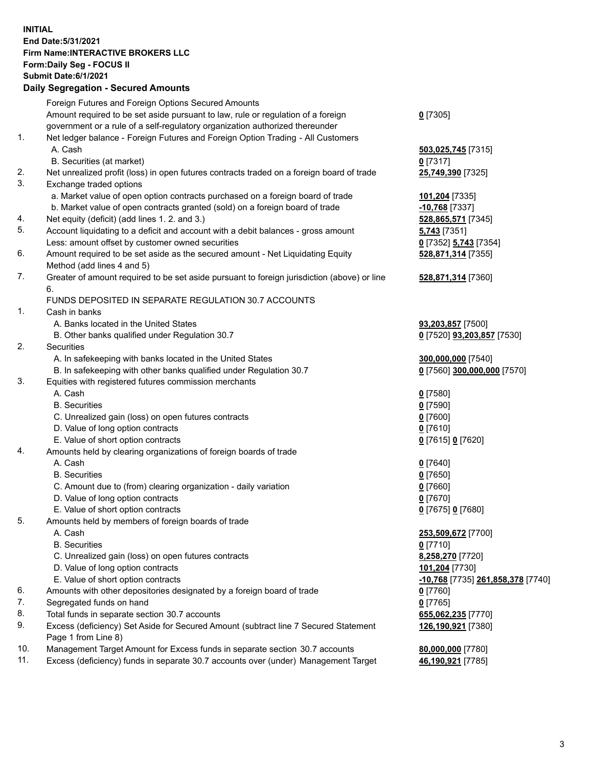## **INITIAL End Date:5/31/2021 Firm Name:INTERACTIVE BROKERS LLC Form:Daily Seg - FOCUS II Submit Date:6/1/2021 Daily Segregation - Secured Amounts**

|     | 2011, Ocgi ogation - Oceaned Anioania                                                       |                                   |
|-----|---------------------------------------------------------------------------------------------|-----------------------------------|
|     | Foreign Futures and Foreign Options Secured Amounts                                         |                                   |
|     | Amount required to be set aside pursuant to law, rule or regulation of a foreign            | $0$ [7305]                        |
|     | government or a rule of a self-regulatory organization authorized thereunder                |                                   |
| 1.  | Net ledger balance - Foreign Futures and Foreign Option Trading - All Customers             |                                   |
|     | A. Cash                                                                                     | 503,025,745 [7315]                |
|     | B. Securities (at market)                                                                   | $0$ [7317]                        |
| 2.  | Net unrealized profit (loss) in open futures contracts traded on a foreign board of trade   | 25,749,390 [7325]                 |
| 3.  | Exchange traded options                                                                     |                                   |
|     | a. Market value of open option contracts purchased on a foreign board of trade              | 101,204 [7335]                    |
|     | b. Market value of open contracts granted (sold) on a foreign board of trade                | $-10,768$ [7337]                  |
| 4.  | Net equity (deficit) (add lines 1. 2. and 3.)                                               | 528,865,571 [7345]                |
| 5.  | Account liquidating to a deficit and account with a debit balances - gross amount           | <b>5,743</b> [7351]               |
|     | Less: amount offset by customer owned securities                                            | 0 [7352] 5,743 [7354]             |
| 6.  | Amount required to be set aside as the secured amount - Net Liquidating Equity              | 528,871,314 [7355]                |
|     | Method (add lines 4 and 5)                                                                  |                                   |
| 7.  | Greater of amount required to be set aside pursuant to foreign jurisdiction (above) or line | 528,871,314 [7360]                |
|     | 6.                                                                                          |                                   |
|     | FUNDS DEPOSITED IN SEPARATE REGULATION 30.7 ACCOUNTS                                        |                                   |
| 1.  | Cash in banks                                                                               |                                   |
|     | A. Banks located in the United States                                                       | 93,203,857 [7500]                 |
|     | B. Other banks qualified under Regulation 30.7                                              | 0 [7520] 93,203,857 [7530]        |
| 2.  | Securities                                                                                  |                                   |
|     | A. In safekeeping with banks located in the United States                                   | 300,000,000 [7540]                |
|     | B. In safekeeping with other banks qualified under Regulation 30.7                          | 0 [7560] 300,000,000 [7570]       |
| 3.  | Equities with registered futures commission merchants                                       |                                   |
|     | A. Cash                                                                                     | $0$ [7580]                        |
|     | <b>B.</b> Securities                                                                        | $0$ [7590]                        |
|     | C. Unrealized gain (loss) on open futures contracts                                         | $0$ [7600]                        |
|     | D. Value of long option contracts                                                           | $0$ [7610]                        |
|     | E. Value of short option contracts                                                          | 0 [7615] 0 [7620]                 |
| 4.  | Amounts held by clearing organizations of foreign boards of trade                           |                                   |
|     | A. Cash                                                                                     | $Q$ [7640]                        |
|     | <b>B.</b> Securities                                                                        | $0$ [7650]                        |
|     | C. Amount due to (from) clearing organization - daily variation                             | $0$ [7660]                        |
|     | D. Value of long option contracts                                                           | $0$ [7670]                        |
|     | E. Value of short option contracts                                                          | 0 [7675] 0 [7680]                 |
| 5.  | Amounts held by members of foreign boards of trade                                          |                                   |
|     | A. Cash                                                                                     | 253,509,672 [7700]                |
|     | <b>B.</b> Securities                                                                        | $0$ [7710]                        |
|     | C. Unrealized gain (loss) on open futures contracts                                         | 8,258,270 [7720]                  |
|     | D. Value of long option contracts                                                           | 101,204 [7730]                    |
|     | E. Value of short option contracts                                                          | -10,768 [7735] 261,858,378 [7740] |
| 6.  | Amounts with other depositories designated by a foreign board of trade                      | 0 [7760]                          |
| 7.  | Segregated funds on hand                                                                    | $0$ [7765]                        |
| 8.  | Total funds in separate section 30.7 accounts                                               | 655,062,235 [7770]                |
| 9.  | Excess (deficiency) Set Aside for Secured Amount (subtract line 7 Secured Statement         | 126,190,921 [7380]                |
|     | Page 1 from Line 8)                                                                         |                                   |
| 10. | Management Target Amount for Excess funds in separate section 30.7 accounts                 | 80,000,000 [7780]                 |
| 11. | Excess (deficiency) funds in separate 30.7 accounts over (under) Management Target          | 46,190,921 [7785]                 |
|     |                                                                                             |                                   |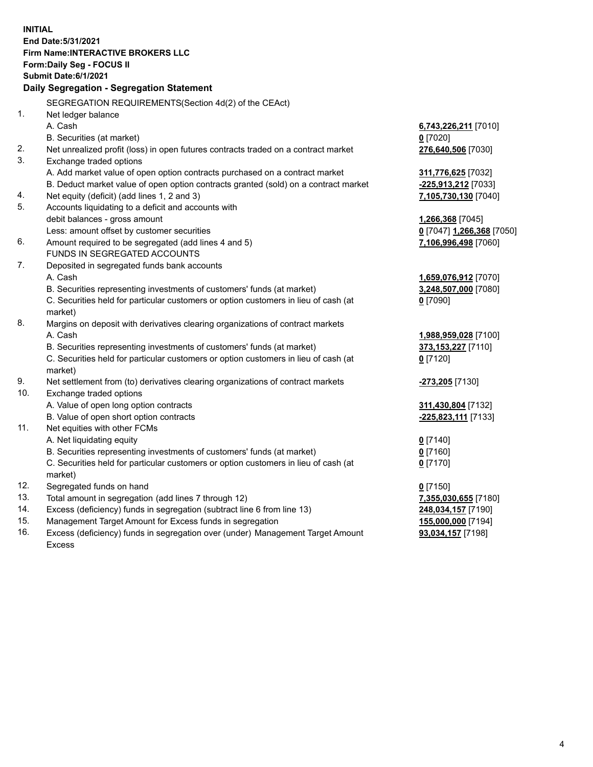**INITIAL End Date:5/31/2021 Firm Name:INTERACTIVE BROKERS LLC Form:Daily Seg - FOCUS II Submit Date:6/1/2021 Daily Segregation - Segregation Statement** SEGREGATION REQUIREMENTS(Section 4d(2) of the CEAct) 1. Net ledger balance A. Cash **6,743,226,211** [7010] B. Securities (at market) **0** [7020] 2. Net unrealized profit (loss) in open futures contracts traded on a contract market **276,640,506** [7030] 3. Exchange traded options A. Add market value of open option contracts purchased on a contract market **311,776,625** [7032] B. Deduct market value of open option contracts granted (sold) on a contract market **-225,913,212** [7033] 4. Net equity (deficit) (add lines 1, 2 and 3) **7,105,730,130** [7040] 5. Accounts liquidating to a deficit and accounts with debit balances - gross amount **1,266,368** [7045] Less: amount offset by customer securities **0** [7047] **1,266,368** [7050] 6. Amount required to be segregated (add lines 4 and 5) **7,106,996,498** [7060] FUNDS IN SEGREGATED ACCOUNTS 7. Deposited in segregated funds bank accounts A. Cash **1,659,076,912** [7070] B. Securities representing investments of customers' funds (at market) **3,248,507,000** [7080] C. Securities held for particular customers or option customers in lieu of cash (at market) **0** [7090] 8. Margins on deposit with derivatives clearing organizations of contract markets A. Cash **1,988,959,028** [7100] B. Securities representing investments of customers' funds (at market) **373,153,227** [7110] C. Securities held for particular customers or option customers in lieu of cash (at market) **0** [7120] 9. Net settlement from (to) derivatives clearing organizations of contract markets **-273,205** [7130] 10. Exchange traded options A. Value of open long option contracts **311,430,804** [7132] B. Value of open short option contracts **-225,823,111** [7133] 11. Net equities with other FCMs A. Net liquidating equity **0** [7140] B. Securities representing investments of customers' funds (at market) **0** [7160] C. Securities held for particular customers or option customers in lieu of cash (at market) **0** [7170] 12. Segregated funds on hand **0** [7150] 13. Total amount in segregation (add lines 7 through 12) **7,355,030,655** [7180] 14. Excess (deficiency) funds in segregation (subtract line 6 from line 13) **248,034,157** [7190] 15. Management Target Amount for Excess funds in segregation **155,000,000** [7194] 16. Excess (deficiency) funds in segregation over (under) Management Target Amount **93,034,157** [7198]

Excess